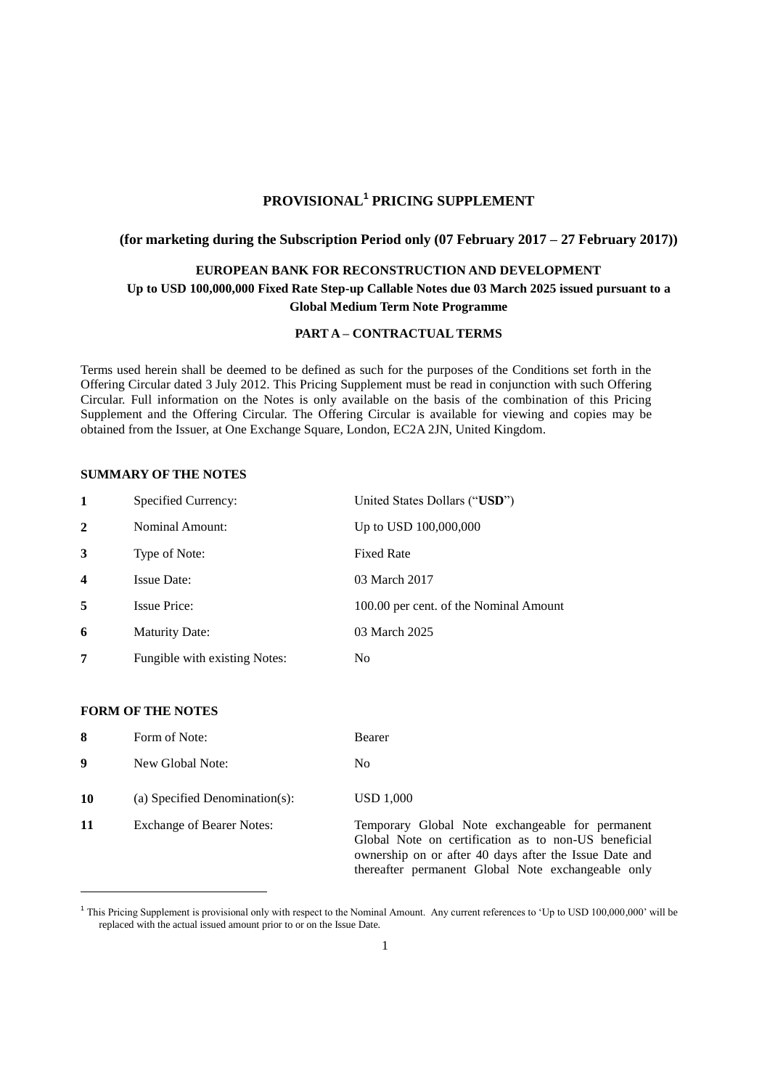# **PROVISIONAL<sup>1</sup> PRICING SUPPLEMENT**

# **(for marketing during the Subscription Period only (07 February 2017 – 27 February 2017))**

# **EUROPEAN BANK FOR RECONSTRUCTION AND DEVELOPMENT Up to USD 100,000,000 Fixed Rate Step-up Callable Notes due 03 March 2025 issued pursuant to a Global Medium Term Note Programme**

### **PART A – CONTRACTUAL TERMS**

Terms used herein shall be deemed to be defined as such for the purposes of the Conditions set forth in the Offering Circular dated 3 July 2012. This Pricing Supplement must be read in conjunction with such Offering Circular. Full information on the Notes is only available on the basis of the combination of this Pricing Supplement and the Offering Circular. The Offering Circular is available for viewing and copies may be obtained from the Issuer, at One Exchange Square, London, EC2A 2JN, United Kingdom.

#### **SUMMARY OF THE NOTES**

| 1                | Specified Currency:           | United States Dollars ("USD")          |
|------------------|-------------------------------|----------------------------------------|
| $\mathbf{2}$     | <b>Nominal Amount:</b>        | Up to USD 100,000,000                  |
| 3                | Type of Note:                 | <b>Fixed Rate</b>                      |
| $\boldsymbol{4}$ | <b>Issue Date:</b>            | 03 March 2017                          |
| 5                | <b>Issue Price:</b>           | 100.00 per cent. of the Nominal Amount |
| 6                | <b>Maturity Date:</b>         | 03 March 2025                          |
|                  | Fungible with existing Notes: | No                                     |

#### **FORM OF THE NOTES**

 $\overline{a}$ 

| 8  | Form of Note:                    | Bearer                                                                                                                                                                                                                   |
|----|----------------------------------|--------------------------------------------------------------------------------------------------------------------------------------------------------------------------------------------------------------------------|
| 9  | New Global Note:                 | No                                                                                                                                                                                                                       |
| 10 | (a) Specified Denomination(s):   | USD 1,000                                                                                                                                                                                                                |
| 11 | <b>Exchange of Bearer Notes:</b> | Temporary Global Note exchangeable for permanent<br>Global Note on certification as to non-US beneficial<br>ownership on or after 40 days after the Issue Date and<br>thereafter permanent Global Note exchangeable only |

<sup>&</sup>lt;sup>1</sup> This Pricing Supplement is provisional only with respect to the Nominal Amount. Any current references to 'Up to USD 100,000,000' will be replaced with the actual issued amount prior to or on the Issue Date.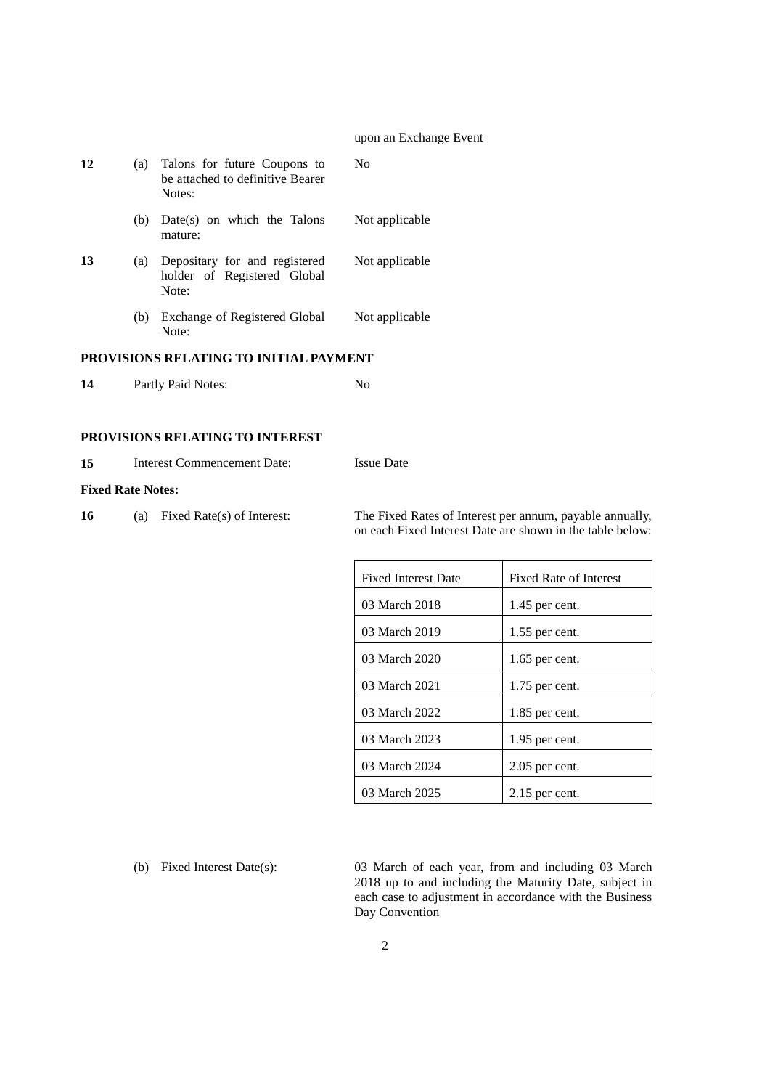#### upon an Exchange Event

| 12 | (a) | Talons for future Coupons to<br>be attached to definitive Bearer<br>Notes: | $\rm No$       |
|----|-----|----------------------------------------------------------------------------|----------------|
|    | (b) | $Date(s)$ on which the Talons<br>mature:                                   | Not applicable |
| 13 | (a) | Depositary for and registered<br>holder of Registered Global<br>Note:      | Not applicable |
|    | (b) | Exchange of Registered Global<br>Note:                                     | Not applicable |

# **PROVISIONS RELATING TO INITIAL PAYMENT**

| 14<br>Partly Paid Notes: |  |
|--------------------------|--|
|--------------------------|--|

## **PROVISIONS RELATING TO INTEREST**

| 15<br>Interest Commencement Date:<br><b>Issue Date</b> |
|--------------------------------------------------------|
|--------------------------------------------------------|

#### **Fixed Rate Notes:**

**16** (a) Fixed Rate(s) of Interest: The Fixed Rates of Interest per annum, payable annually, on each Fixed Interest Date are shown in the table below:

| <b>Fixed Interest Date</b> | <b>Fixed Rate of Interest</b> |
|----------------------------|-------------------------------|
| 03 March 2018              | 1.45 per cent.                |
| 03 March 2019              | $1.55$ per cent.              |
| 03 March 2020              | $1.65$ per cent.              |
| 03 March 2021              | $1.75$ per cent.              |
| 03 March 2022              | $1.85$ per cent.              |
| 03 March 2023              | $1.95$ per cent.              |
| 03 March 2024              | $2.05$ per cent.              |
| 03 March 2025              | $2.15$ per cent.              |

(b) Fixed Interest Date(s): 03 March of each year, from and including 03 March 2018 up to and including the Maturity Date, subject in each case to adjustment in accordance with the Business Day Convention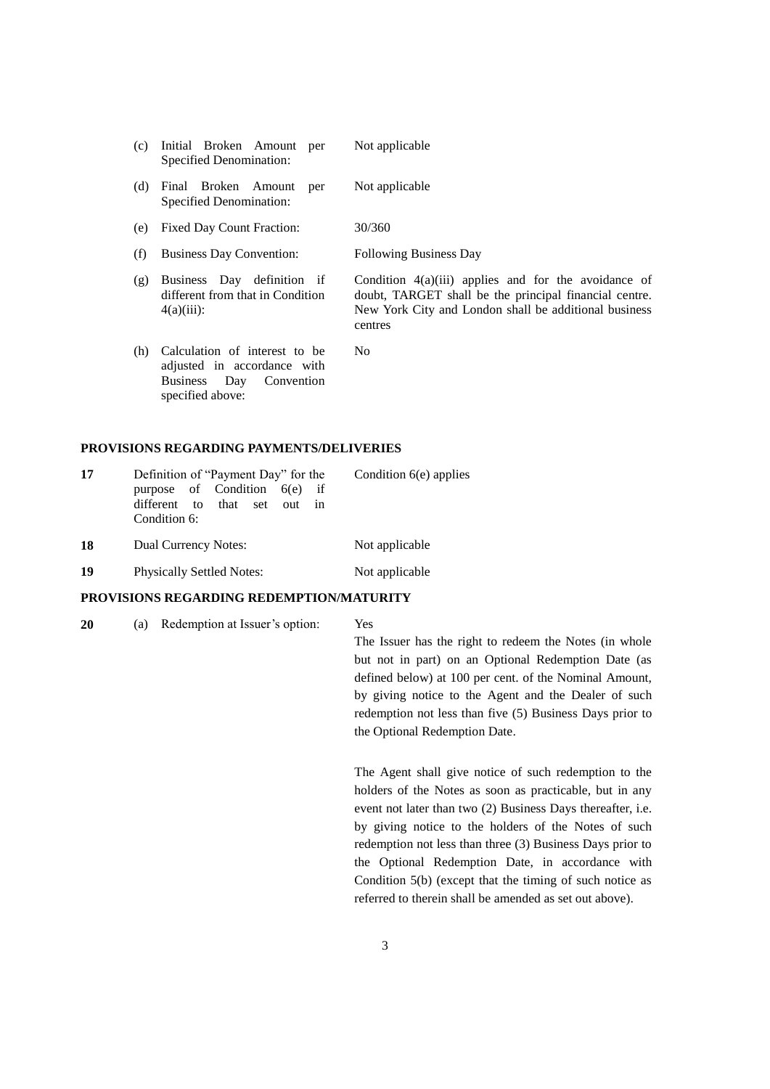|     | Specified Denomination: | (c) Initial Broken Amount per | Not applicable |
|-----|-------------------------|-------------------------------|----------------|
| (d) |                         | Final Broken Amount per       | Not applicable |

- (d) Final Broken Amount per Specified Denomination:
- (e) Fixed Day Count Fraction: 30/360
- (f) Business Day Convention: Following Business Day
- (g) Business Day definition if different from that in Condition  $4(a)(iii)$ :
- (h) Calculation of interest to be adjusted in accordance with Business Day Convention specified above:

 $N<sub>0</sub>$ 

centres

### **PROVISIONS REGARDING PAYMENTS/DELIVERIES**

| 17 | Definition of "Payment Day" for the          | Condition $6(e)$ applies |
|----|----------------------------------------------|--------------------------|
|    | purpose of Condition $6(e)$ if               |                          |
|    | different to that set out in<br>Condition 6: |                          |
| 18 | Dual Currency Notes:                         | Not applicable           |

**19** Physically Settled Notes: Not applicable

## **PROVISIONS REGARDING REDEMPTION/MATURITY**

**20** (a) Redemption at Issuer's option: Yes

The Issuer has the right to redeem the Notes (in whole but not in part) on an Optional Redemption Date (as defined below) at 100 per cent. of the Nominal Amount, by giving notice to the Agent and the Dealer of such redemption not less than five (5) Business Days prior to the Optional Redemption Date.

Condition 4(a)(iii) applies and for the avoidance of doubt, TARGET shall be the principal financial centre. New York City and London shall be additional business

The Agent shall give notice of such redemption to the holders of the Notes as soon as practicable, but in any event not later than two (2) Business Days thereafter, i.e. by giving notice to the holders of the Notes of such redemption not less than three (3) Business Days prior to the Optional Redemption Date, in accordance with Condition 5(b) (except that the timing of such notice as referred to therein shall be amended as set out above).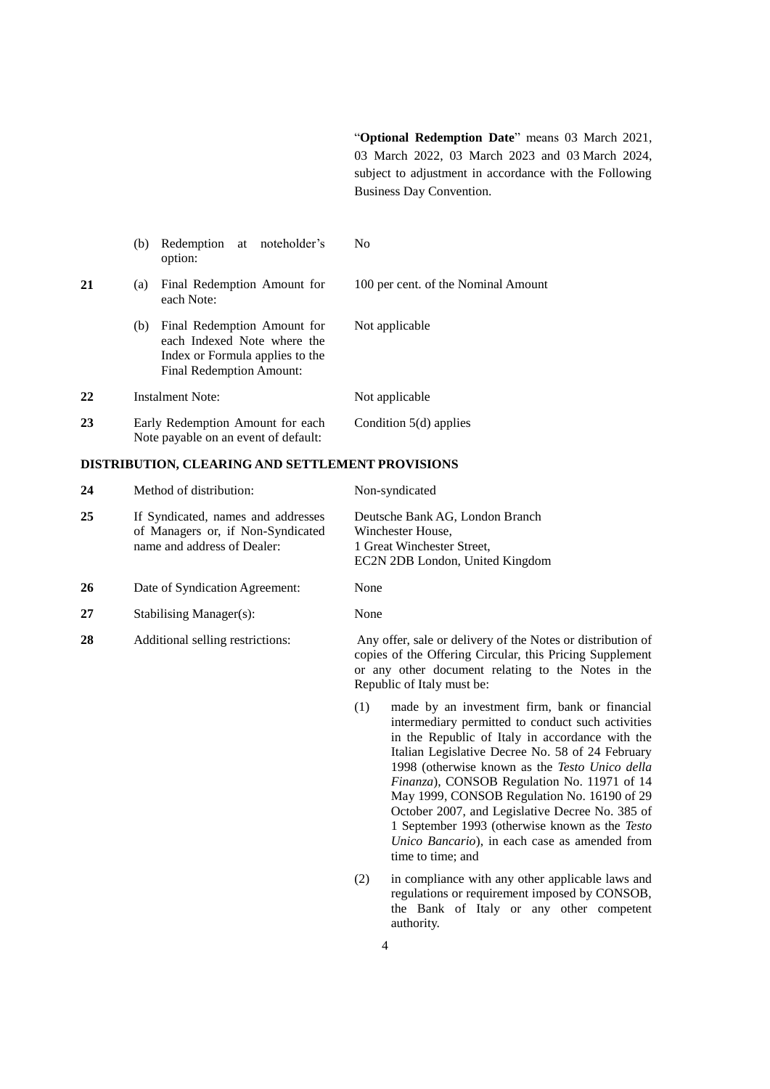"**Optional Redemption Date**" means 03 March 2021, 03 March 2022, 03 March 2023 and 03 March 2024, subject to adjustment in accordance with the Following Business Day Convention.

|    | Redemption at noteholder's<br>(b)<br>option:                                                                                     | N <sub>0</sub>                      |
|----|----------------------------------------------------------------------------------------------------------------------------------|-------------------------------------|
| 21 | Final Redemption Amount for<br>(a)<br>each Note:                                                                                 | 100 per cent. of the Nominal Amount |
|    | Final Redemption Amount for<br>(b)<br>each Indexed Note where the<br>Index or Formula applies to the<br>Final Redemption Amount: | Not applicable                      |
| 22 | <b>Instalment Note:</b>                                                                                                          | Not applicable                      |
| 23 | Early Redemption Amount for each<br>Note payable on an event of default:                                                         | Condition $5(d)$ applies            |

#### **DISTRIBUTION, CLEARING AND SETTLEMENT PROVISIONS**

| 24 | Method of distribution:                                                                                | Non-syndicated                                                                                                                                                                                              |
|----|--------------------------------------------------------------------------------------------------------|-------------------------------------------------------------------------------------------------------------------------------------------------------------------------------------------------------------|
| 25 | If Syndicated, names and addresses<br>of Managers or, if Non-Syndicated<br>name and address of Dealer: | Deutsche Bank AG, London Branch<br>Winchester House,<br>1 Great Winchester Street,<br>EC2N 2DB London, United Kingdom                                                                                       |
| 26 | Date of Syndication Agreement:                                                                         | None                                                                                                                                                                                                        |
| 27 | <b>Stabilising Manager(s):</b>                                                                         | None                                                                                                                                                                                                        |
| 28 | Additional selling restrictions:                                                                       | Any offer, sale or delivery of the Notes or distribution of<br>copies of the Offering Circular, this Pricing Supplement<br>or any other document relating to the Notes in the<br>Republic of Italy must be: |

(1) made by an investment firm, bank or financial intermediary permitted to conduct such activities in the Republic of Italy in accordance with the Italian Legislative Decree No. 58 of 24 February 1998 (otherwise known as the *Testo Unico della Finanza*), CONSOB Regulation No. 11971 of 14 May 1999, CONSOB Regulation No. 16190 of 29 October 2007, and Legislative Decree No. 385 of 1 September 1993 (otherwise known as the *Testo Unico Bancario*), in each case as amended from time to time; and

(2) in compliance with any other applicable laws and regulations or requirement imposed by CONSOB, the Bank of Italy or any other competent authority.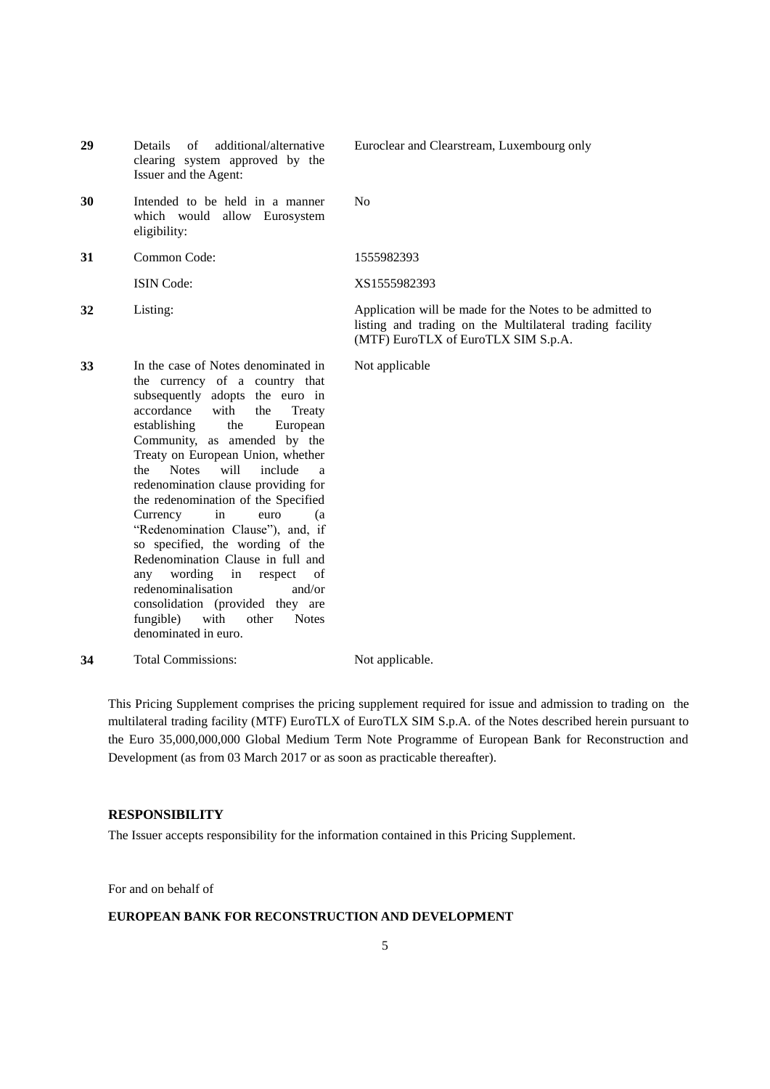- **29** Details of additional/alternative clearing system approved by the Issuer and the Agent:
- **30** Intended to be held in a manner which would allow Eurosystem eligibility:

**33** In the case of Notes denominated in

the currency of a country that subsequently adopts the euro in accordance with the Treaty establishing the European Community, as amended by the Treaty on European Union, whether the Notes will include a redenomination clause providing for the redenomination of the Specified Currency in euro (a "Redenomination Clause"), and, if so specified, the wording of the Redenomination Clause in full and any wording in respect of redenominalisation and/or consolidation (provided they are fungible) with other Notes

**31** Common Code: 1555982393

Euroclear and Clearstream, Luxembourg only

No

ISIN Code: XS1555982393

**32** Listing: Application will be made for the Notes to be admitted to listing and trading on the Multilateral trading facility (MTF) EuroTLX of EuroTLX SIM S.p.A.

Not applicable

**34** Total Commissions: Not applicable.

denominated in euro.

This Pricing Supplement comprises the pricing supplement required for issue and admission to trading on the multilateral trading facility (MTF) EuroTLX of EuroTLX SIM S.p.A. of the Notes described herein pursuant to the Euro 35,000,000,000 Global Medium Term Note Programme of European Bank for Reconstruction and Development (as from 03 March 2017 or as soon as practicable thereafter).

## **RESPONSIBILITY**

The Issuer accepts responsibility for the information contained in this Pricing Supplement.

For and on behalf of

## **EUROPEAN BANK FOR RECONSTRUCTION AND DEVELOPMENT**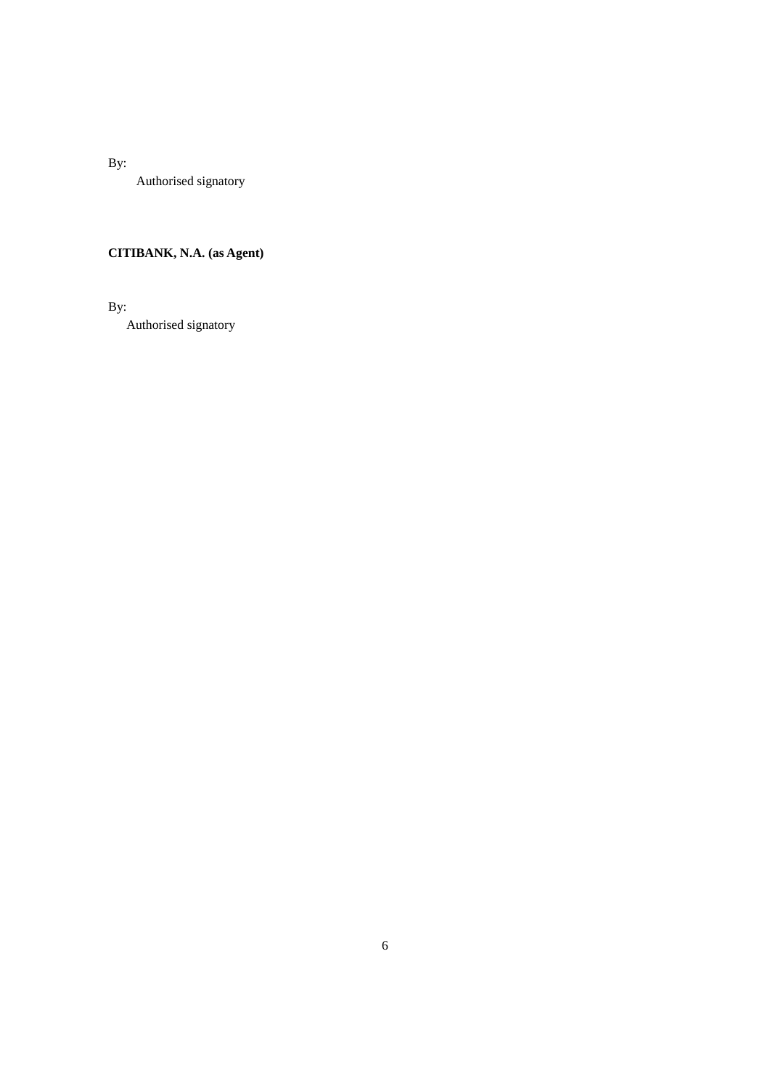By:

Authorised signatory

# **CITIBANK, N.A. (as Agent)**

By:

Authorised signatory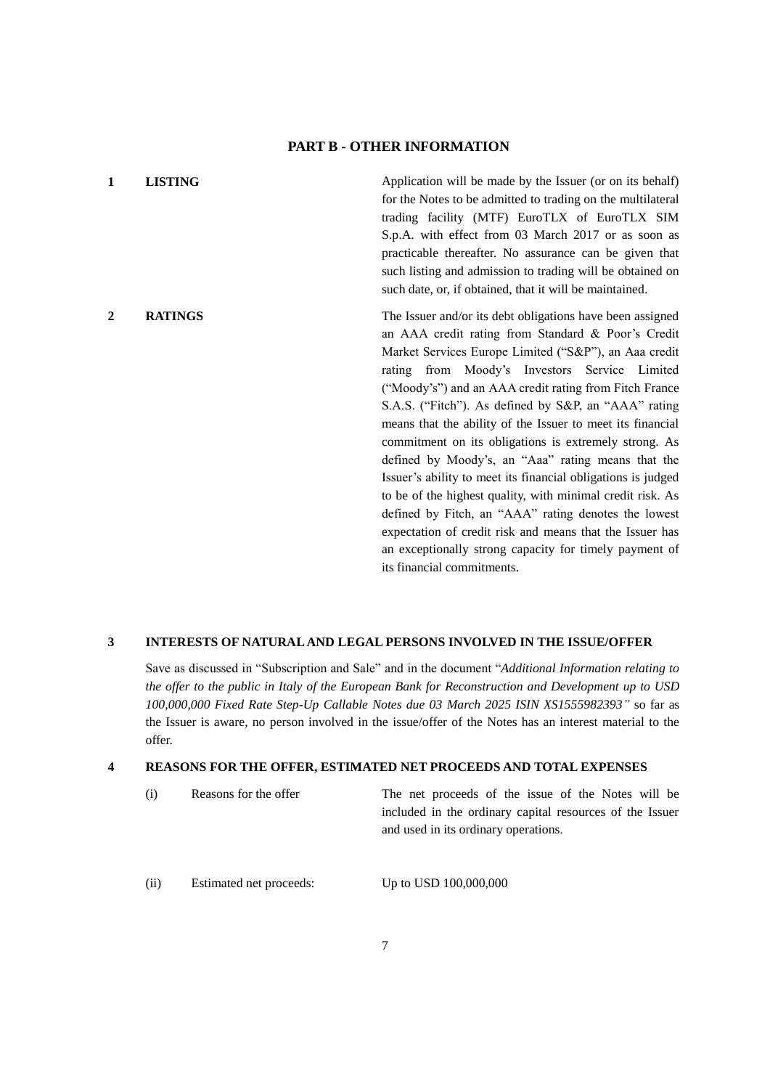### **PART B - OTHER INFORMATION**

**1 LISTING Application will be made by the Issuer (or on its behalf)** for the Notes to be admitted to trading on the multilateral trading facility (MTF) EuroTLX of EuroTLX SIM S.p.A. with effect from 03 March 2017 or as soon as practicable thereafter. No assurance can be given that such listing and admission to trading will be obtained on such date, or, if obtained, that it will be maintained. **2 RATINGS** The Issuer and/or its debt obligations have been assigned an AAA credit rating from Standard & Poor's Credit Market Services Europe Limited ("S&P"), an Aaa credit rating from Moody's Investors Service Limited ("Moody's") and an AAA credit rating from Fitch France S.A.S. ("Fitch"). As defined by S&P, an "AAA" rating means that the ability of the Issuer to meet its financial commitment on its obligations is extremely strong. As defined by Moody's, an "Aaa" rating means that the Issuer's ability to meet its financial obligations is judged to be of the highest quality, with minimal credit risk. As defined by Fitch, an "AAA" rating denotes the lowest expectation of credit risk and means that the Issuer has an exceptionally strong capacity for timely payment of its financial commitments.

#### **3 INTERESTS OF NATURAL AND LEGAL PERSONS INVOLVED IN THE ISSUE/OFFER**

Save as discussed in "Subscription and Sale" and in the document "*Additional Information relating to the offer to the public in Italy of the European Bank for Reconstruction and Development up to USD 100,000,000 Fixed Rate Step-Up Callable Notes due 03 March 2025 ISIN XS1555982393"* so far as the Issuer is aware, no person involved in the issue/offer of the Notes has an interest material to the offer.

#### **4 REASONS FOR THE OFFER, ESTIMATED NET PROCEEDS AND TOTAL EXPENSES**

| (i)  | Reasons for the offer   | The net proceeds of the issue of the Notes will be       |
|------|-------------------------|----------------------------------------------------------|
|      |                         | included in the ordinary capital resources of the Issuer |
|      |                         | and used in its ordinary operations.                     |
|      |                         |                                                          |
|      |                         |                                                          |
| (ii) | Estimated net proceeds: | Up to USD 100,000,000                                    |